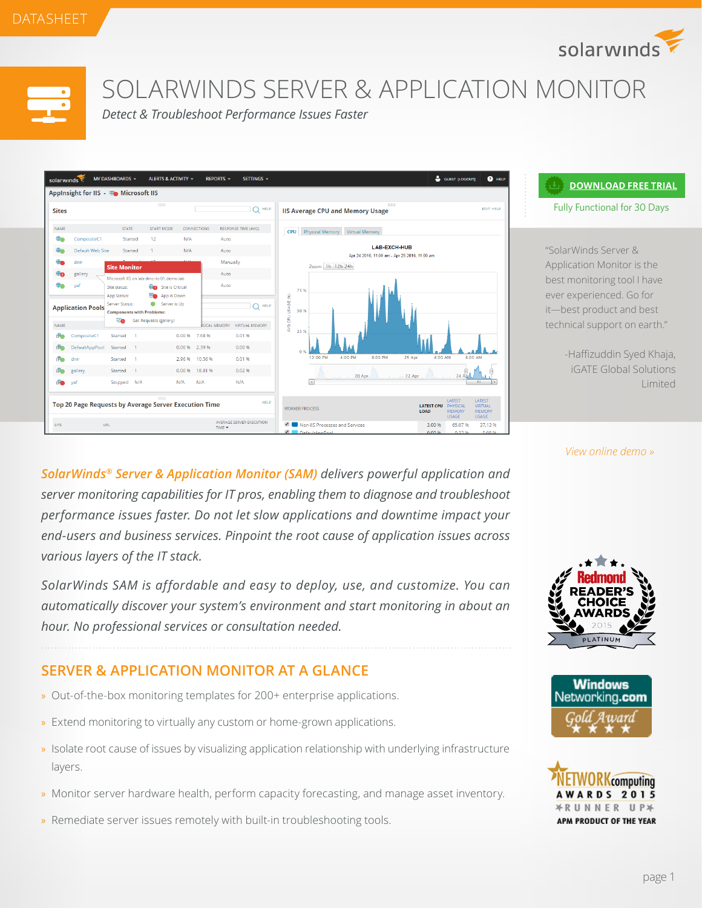solarwinds



SOLARWINDS SERVER & APPLICATION MONITOR

*Detect & Troubleshoot Performance Issues Faster*



#### **[DOWNLOAD FREE TRIAL](http://www.solarwinds.com/register/registrationb.aspx?program=857&c=70150000000Dtb9 )**

Fully Functional for 30 Days

"SolarWinds Server & Application Monitor is the best monitoring tool I have ever experienced. Go for it—best product and best technical support on earth."

> -Haffizuddin Syed Khaja, iGATE Global Solutions Limited

*[SolarWinds® Server & Application Monitor \(SAM\)](http://www.solarwinds.com/server-application-monitor.aspx) delivers powerful application and server monitoring capabilities for IT pros, enabling them to diagnose and troubleshoot performance issues faster. Do not let slow applications and downtime impact your end-users and business services. Pinpoint the root cause of application issues across various layers of the IT stack.*

*SolarWinds SAM is affordable and easy to deploy, use, and customize. You can automatically discover your system's environment and start monitoring in about an hour. No professional services or consultation needed.*

# **SERVER & APPLICATION MONITOR AT A GLANCE**

- » Out-of-the-box monitoring templates for 200+ enterprise applications.
- » Extend monitoring to virtually any custom or home-grown applications.
- » Isolate root cause of issues by visualizing application relationship with underlying infrastructure layers.
- » Monitor server hardware health, perform capacity forecasting, and manage asset inventory.
- » Remediate server issues remotely with built-in troubleshooting tools.

#### *[View online demo »](http://oriondemo.solarwinds.com/Orion/Apm/Summary.aspx/?program=857&c=70150000000Dtb9&AccountID=guest&password=orion)*





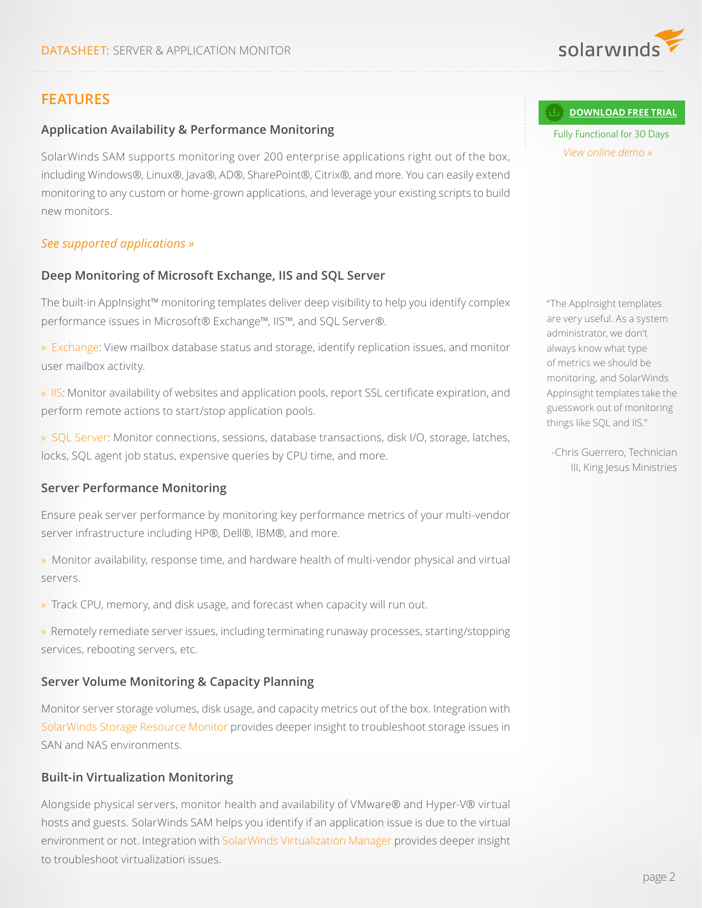

# **FEATURES**

### **Application Availability & Performance Monitoring**

SolarWinds SAM supports monitoring over 200 enterprise applications right out of the box, including Windows®, Linux®, Java®, AD®, SharePoint®, Citrix®, and more. You can easily extend monitoring to any custom or home-grown applications, and leverage your existing scripts to build new monitors.

#### *[See supported applications »](http://www.solarwinds.com/sam/suported-vendors.aspx)*

#### **Deep Monitoring of Microsoft Exchange, IIS and SQL Server**

The built-in AppInsight™ monitoring templates deliver deep visibility to help you identify complex performance issues in Microsoft® Exchange™, IIS™, and SQL Server®.

- » [Exchange](http://www.solarwinds.com/topics/exchange-server-monitor.aspx): View mailbox database status and storage, identify replication issues, and monitor user mailbox activity.
- » [IIS](http://www.solarwinds.com/topics/microsoft-iis-monitor.aspx): Monitor availability of websites and application pools, report SSL certificate expiration, and perform remote actions to start/stop application pools.

» [SQL Server:](http://www.solarwinds.com/topics/sql-server-monitor.aspx) Monitor connections, sessions, database transactions, disk I/O, storage, latches, locks, SQL agent job status, expensive queries by CPU time, and more.

#### **Server Performance Monitoring**

Ensure peak server performance by monitoring key performance metrics of your multi-vendor server infrastructure including HP®, Dell®, IBM®, and more.

- » Monitor availability, response time, and hardware health of multi-vendor physical and virtual servers.
- » Track CPU, memory, and disk usage, and forecast when capacity will run out.
- » Remotely remediate server issues, including terminating runaway processes, starting/stopping services, rebooting servers, etc.

#### **Server Volume Monitoring & Capacity Planning**

Monitor server storage volumes, disk usage, and capacity metrics out of the box. Integration with [SolarWinds Storage Resource Monitor](http://www.solarwinds.com/storage-resource-monitor.aspx) provides deeper insight to troubleshoot storage issues in SAN and NAS environments.

#### **Built-in Virtualization Monitoring**

Alongside physical servers, monitor health and availability of VMware® and Hyper-V® virtual hosts and guests. SolarWinds SAM helps you identify if an application issue is due to the virtual environment or not. Integration with [SolarWinds Virtualization Manager](http://www.solarwinds.com/virtualization-manager.aspx) provides deeper insight to troubleshoot virtualization issues.

**[DOWNLOAD FREE TRIAL](http://www.solarwinds.com/register/registrationb.aspx?program=857&c=70150000000Dtb9 )**

Fully Functional for 30 Days *[View online demo »](http://oriondemo.solarwinds.com/Orion/Apm/Summary.aspx/?program=857&c=70150000000Dtb9&AccountID=guest&password=orion)*

"The AppInsight templates are very useful. As a system administrator, we don't always know what type of metrics we should be monitoring, and SolarWinds AppInsight templates take the guesswork out of monitoring things like SQL and IIS."

-Chris Guerrero, Technician III, King Jesus Ministries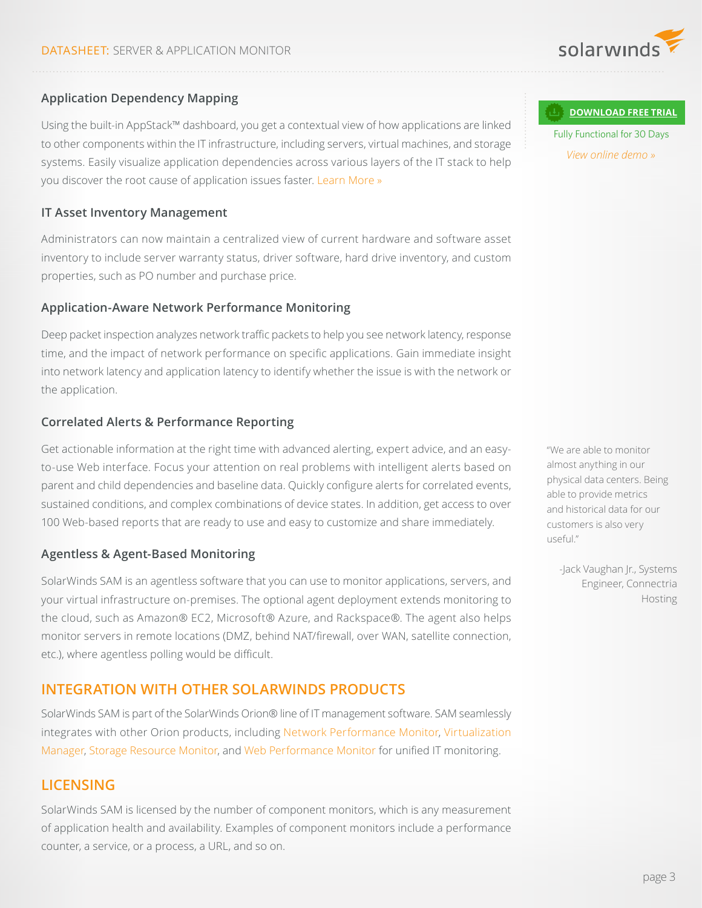

### **Application Dependency Mapping**

Using the built-in AppStack™ dashboard, you get a contextual view of how applications are linked to other components within the IT infrastructure, including servers, virtual machines, and storage systems. Easily visualize application dependencies across various layers of the IT stack to help you discover the root cause of application issues faster. [Learn More »](https://thwack.solarwinds.com/community/solarwinds-community/geek-speak_tht/blog/2016/02/09/simplify-performance-monitoring-troubleshooting-across-the-it-stack)

#### **IT Asset Inventory Management**

Administrators can now maintain a centralized view of current hardware and software asset inventory to include server warranty status, driver software, hard drive inventory, and custom properties, such as PO number and purchase price.

#### **Application-Aware Network Performance Monitoring**

Deep packet inspection analyzes network traffic packets to help you see network latency, response time, and the impact of network performance on specific applications. Gain immediate insight into network latency and application latency to identify whether the issue is with the network or the application.

### **Correlated Alerts & Performance Reporting**

Get actionable information at the right time with advanced alerting, expert advice, and an easyto-use Web interface. Focus your attention on real problems with intelligent alerts based on parent and child dependencies and baseline data. Quickly configure alerts for correlated events, sustained conditions, and complex combinations of device states. In addition, get access to over 100 Web-based reports that are ready to use and easy to customize and share immediately.

#### **Agentless & Agent-Based Monitoring**

SolarWinds SAM is an agentless software that you can use to monitor applications, servers, and your virtual infrastructure on-premises. The optional agent deployment extends monitoring to the cloud, such as Amazon® EC2, Microsoft® Azure, and Rackspace®. The agent also helps monitor servers in remote locations (DMZ, behind NAT/firewall, over WAN, satellite connection, etc.), where agentless polling would be difficult.

# **INTEGRATION WITH OTHER SOLARWINDS PRODUCTS**

SolarWinds SAM is part of the SolarWinds Orion® line of IT management software. SAM seamlessly integrates with other Orion products, including [Network Performance Monitor,](http://www.solarwinds.com/network-performance-monitor.aspx) [Virtualization](http://www.solarwinds.com/virtualization-manager.aspx) [Manager](http://www.solarwinds.com/virtualization-manager.aspx), [Storage Resource Monitor](http://www.solarwinds.com/storage-resource-monitor.aspx), and [Web Performance Monitor](http://www.solarwinds.com/web-performance-monitor.aspx) for unified IT monitoring.

# **LICENSING**

SolarWinds SAM is licensed by the number of component monitors, which is any measurement of application health and availability. Examples of component monitors include a performance counter, a service, or a process, a URL, and so on.

**[DOWNLOAD FREE TRIAL](http://www.solarwinds.com/register/registrationb.aspx?program=857&c=70150000000Dtb9 )**

Fully Functional for 30 Days *[View online demo »](http://oriondemo.solarwinds.com/Orion/Apm/Summary.aspx/?program=857&c=70150000000Dtb9&AccountID=guest&password=orion)*

"We are able to monitor almost anything in our physical data centers. Being able to provide metrics and historical data for our customers is also very useful."

-Jack Vaughan Jr., Systems Engineer, Connectria Hosting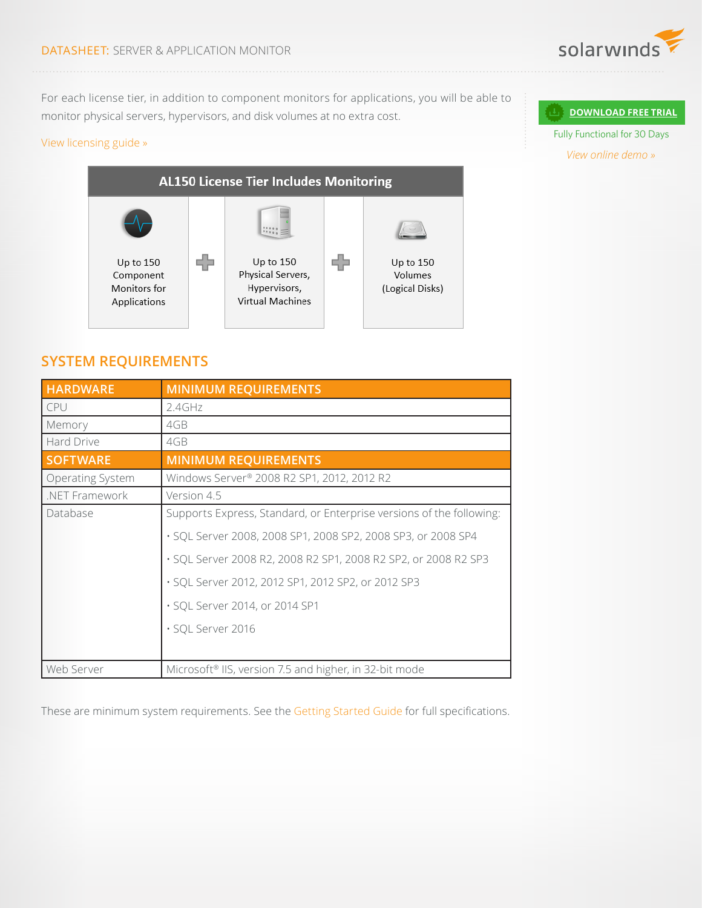

For each license tier, in addition to component monitors for applications, you will be able to monitor physical servers, hypervisors, and disk volumes at no extra cost.

### [View licensing guide »](http://cdn.swcdn.net/creative/v17.1/pdf/SAM_Licensing_Guide.pdf)



# **SYSTEM REQUIREMENTS**

| <b>HARDWARE</b>         | <b>MINIMUM REQUIREMENTS</b>                                          |
|-------------------------|----------------------------------------------------------------------|
| CPU                     | 2.4GHz                                                               |
| Memory                  | 4GB                                                                  |
| Hard Drive              | 4GB                                                                  |
| <b>SOFTWARE</b>         | <b>MINIMUM REQUIREMENTS</b>                                          |
| <b>Operating System</b> | Windows Server <sup>®</sup> 2008 R2 SP1, 2012, 2012 R2               |
| .NET Framework          | Version 4.5                                                          |
| Database                | Supports Express, Standard, or Enterprise versions of the following: |
|                         | · SQL Server 2008, 2008 SP1, 2008 SP2, 2008 SP3, or 2008 SP4         |
|                         | · SQL Server 2008 R2, 2008 R2 SP1, 2008 R2 SP2, or 2008 R2 SP3       |
|                         | · SQL Server 2012, 2012 SP1, 2012 SP2, or 2012 SP3                   |
|                         | · SQL Server 2014, or 2014 SP1                                       |
|                         | · SQL Server 2016                                                    |
|                         |                                                                      |
| Web Server              | Microsoft <sup>®</sup> IIS, version 7.5 and higher, in 32-bit mode   |

These are minimum system requirements. See the [Getting Started Guide](https://support.solarwinds.com/?title=Success_Center/Server_%26_Application_Monitor_(SAM)/Server_%26_Application_Monitoring_Getting_Started_Guide/010/010) for full specifications.

#### **[DOWNLOAD FREE TRIAL](http://www.solarwinds.com/register/registrationb.aspx?program=857&c=70150000000Dtb9 )**

Fully Functional for 30 Days *[View online demo »](http://oriondemo.solarwinds.com/Orion/Apm/Summary.aspx/?program=857&c=70150000000Dtb9&AccountID=guest&password=orion)*